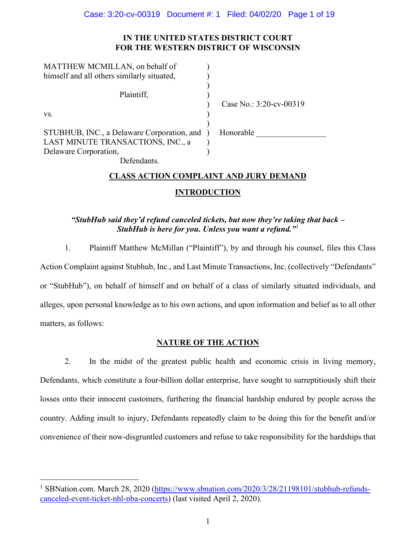# **IN THE UNITED STATES DISTRICT COURT FOR THE WESTERN DISTRICT OF WISCONSIN**

| MATTHEW MCMILLAN, on behalf of             |                         |
|--------------------------------------------|-------------------------|
| himself and all others similarly situated, |                         |
|                                            |                         |
| Plaintiff,                                 |                         |
|                                            | Case No.: 3:20-cv-00319 |
| VS.                                        |                         |
|                                            |                         |
| STUBHUB, INC., a Delaware Corporation, and | Honorable               |
| LAST MINUTE TRANSACTIONS, INC., a          |                         |
| Delaware Corporation,                      |                         |
| $P_1$ $P_2$ $I_3$                          |                         |

Defendants.

# **CLASS ACTION COMPLAINT AND JURY DEMAND**

# **INTRODUCTION**

# *"StubHub said they'd refund canceled tickets, but now they're taking that back – StubHub is here for you. Unless you want a refund."*[1](#page-0-0)

1. Plaintiff Matthew McMillan ("Plaintiff"), by and through his counsel, files this Class Action Complaint against Stubhub, Inc., and Last Minute Transactions, Inc. (collectively "Defendants" or "StubHub"), on behalf of himself and on behalf of a class of similarly situated individuals, and alleges, upon personal knowledge as to his own actions, and upon information and belief as to all other matters, as follows:

# **NATURE OF THE ACTION**

2. In the midst of the greatest public health and economic crisis in living memory, Defendants, which constitute a four-billion dollar enterprise, have sought to surreptitiously shift their losses onto their innocent customers, furthering the financial hardship endured by people across the country. Adding insult to injury, Defendants repeatedly claim to be doing this for the benefit and/or convenience of their now-disgruntled customers and refuse to take responsibility for the hardships that

<span id="page-0-0"></span><sup>&</sup>lt;sup>1</sup> SBNation.com. March 28, 2020 [\(https://www.sbnation.com/2020/3/28/21198101/stubhub-refunds](https://www.sbnation.com/2020/3/28/21198101/stubhub-refunds-canceled-event-ticket-nhl-nba-concerts)[canceled-event-ticket-nhl-nba-concerts\)](https://www.sbnation.com/2020/3/28/21198101/stubhub-refunds-canceled-event-ticket-nhl-nba-concerts) (last visited April 2, 2020).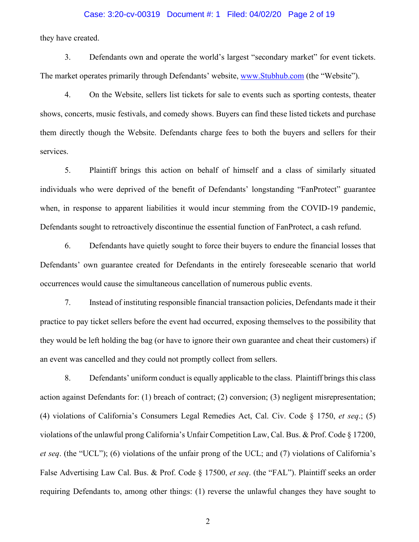#### Case: 3:20-cv-00319 Document #: 1 Filed: 04/02/20 Page 2 of 19

they have created.

3. Defendants own and operate the world's largest "secondary market" for event tickets. The market operates primarily through Defendants' website, [www.Stubhub.com](http://www.stubhub.com/) (the "Website").

4. On the Website, sellers list tickets for sale to events such as sporting contests, theater shows, concerts, music festivals, and comedy shows. Buyers can find these listed tickets and purchase them directly though the Website. Defendants charge fees to both the buyers and sellers for their services.

5. Plaintiff brings this action on behalf of himself and a class of similarly situated individuals who were deprived of the benefit of Defendants' longstanding "FanProtect" guarantee when, in response to apparent liabilities it would incur stemming from the COVID-19 pandemic, Defendants sought to retroactively discontinue the essential function of FanProtect, a cash refund.

6. Defendants have quietly sought to force their buyers to endure the financial losses that Defendants' own guarantee created for Defendants in the entirely foreseeable scenario that world occurrences would cause the simultaneous cancellation of numerous public events.

7. Instead of instituting responsible financial transaction policies, Defendants made it their practice to pay ticket sellers before the event had occurred, exposing themselves to the possibility that they would be left holding the bag (or have to ignore their own guarantee and cheat their customers) if an event was cancelled and they could not promptly collect from sellers.

8. Defendants' uniform conduct is equally applicable to the class. Plaintiff brings this class action against Defendants for: (1) breach of contract; (2) conversion; (3) negligent misrepresentation; (4) violations of California's Consumers Legal Remedies Act, Cal. Civ. Code § 1750, *et seq*.; (5) violations of the unlawful prong California's Unfair Competition Law, Cal. Bus. & Prof. Code § 17200, *et seq*. (the "UCL"); (6) violations of the unfair prong of the UCL; and (7) violations of California's False Advertising Law Cal. Bus. & Prof. Code § 17500, *et seq*. (the "FAL"). Plaintiff seeks an order requiring Defendants to, among other things: (1) reverse the unlawful changes they have sought to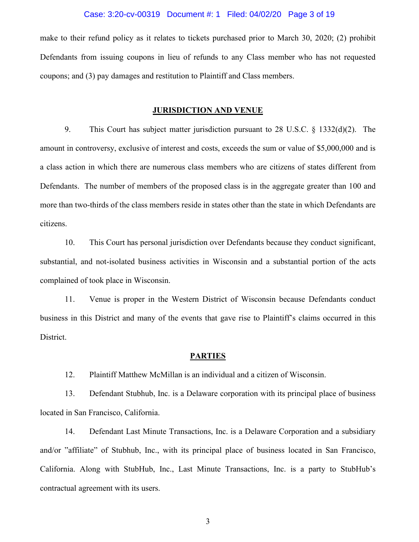#### Case: 3:20-cv-00319 Document #: 1 Filed: 04/02/20 Page 3 of 19

make to their refund policy as it relates to tickets purchased prior to March 30, 2020; (2) prohibit Defendants from issuing coupons in lieu of refunds to any Class member who has not requested coupons; and (3) pay damages and restitution to Plaintiff and Class members.

#### **JURISDICTION AND VENUE**

9. This Court has subject matter jurisdiction pursuant to 28 U.S.C. § 1332(d)(2). The amount in controversy, exclusive of interest and costs, exceeds the sum or value of \$5,000,000 and is a class action in which there are numerous class members who are citizens of states different from Defendants. The number of members of the proposed class is in the aggregate greater than 100 and more than two-thirds of the class members reside in states other than the state in which Defendants are citizens.

10. This Court has personal jurisdiction over Defendants because they conduct significant, substantial, and not-isolated business activities in Wisconsin and a substantial portion of the acts complained of took place in Wisconsin.

11. Venue is proper in the Western District of Wisconsin because Defendants conduct business in this District and many of the events that gave rise to Plaintiff's claims occurred in this District.

#### **PARTIES**

12. Plaintiff Matthew McMillan is an individual and a citizen of Wisconsin.

13. Defendant Stubhub, Inc. is a Delaware corporation with its principal place of business located in San Francisco, California.

14. Defendant Last Minute Transactions, Inc. is a Delaware Corporation and a subsidiary and/or "affiliate" of Stubhub, Inc., with its principal place of business located in San Francisco, California. Along with StubHub, Inc., Last Minute Transactions, Inc. is a party to StubHub's contractual agreement with its users.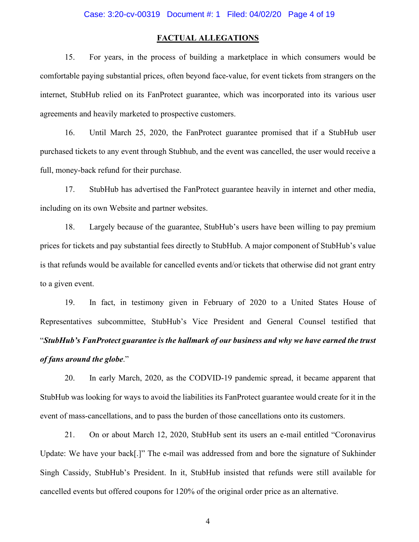### **FACTUAL ALLEGATIONS**

15. For years, in the process of building a marketplace in which consumers would be comfortable paying substantial prices, often beyond face-value, for event tickets from strangers on the internet, StubHub relied on its FanProtect guarantee, which was incorporated into its various user agreements and heavily marketed to prospective customers.

16. Until March 25, 2020, the FanProtect guarantee promised that if a StubHub user purchased tickets to any event through Stubhub, and the event was cancelled, the user would receive a full, money-back refund for their purchase.

17. StubHub has advertised the FanProtect guarantee heavily in internet and other media, including on its own Website and partner websites.

18. Largely because of the guarantee, StubHub's users have been willing to pay premium prices for tickets and pay substantial fees directly to StubHub. A major component of StubHub's value is that refunds would be available for cancelled events and/or tickets that otherwise did not grant entry to a given event.

19. In fact, in testimony given in February of 2020 to a United States House of Representatives subcommittee, StubHub's Vice President and General Counsel testified that "*StubHub's FanProtect guarantee is the hallmark of our business and why we have earned the trust of fans around the globe*."

20. In early March, 2020, as the CODVID-19 pandemic spread, it became apparent that StubHub was looking for ways to avoid the liabilities its FanProtect guarantee would create for it in the event of mass-cancellations, and to pass the burden of those cancellations onto its customers.

21. On or about March 12, 2020, StubHub sent its users an e-mail entitled "Coronavirus Update: We have your back[.]" The e-mail was addressed from and bore the signature of Sukhinder Singh Cassidy, StubHub's President. In it, StubHub insisted that refunds were still available for cancelled events but offered coupons for 120% of the original order price as an alternative.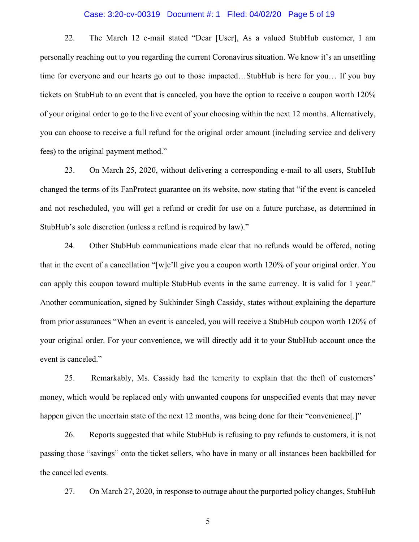#### Case: 3:20-cv-00319 Document #: 1 Filed: 04/02/20 Page 5 of 19

22. The March 12 e-mail stated "Dear [User], As a valued StubHub customer, I am personally reaching out to you regarding the current Coronavirus situation. We know it's an unsettling time for everyone and our hearts go out to those impacted…StubHub is here for you… If you buy tickets on StubHub to an event that is canceled, you have the option to receive a coupon worth 120% of your original order to go to the live event of your choosing within the next 12 months. Alternatively, you can choose to receive a full refund for the original order amount (including service and delivery fees) to the original payment method."

23. On March 25, 2020, without delivering a corresponding e-mail to all users, StubHub changed the terms of its FanProtect guarantee on its website, now stating that "if the event is canceled and not rescheduled, you will get a refund or credit for use on a future purchase, as determined in StubHub's sole discretion (unless a refund is required by law)."

24. Other StubHub communications made clear that no refunds would be offered, noting that in the event of a cancellation "[w]e'll give you a coupon worth 120% of your original order. You can apply this coupon toward multiple StubHub events in the same currency. It is valid for 1 year." Another communication, signed by Sukhinder Singh Cassidy, states without explaining the departure from prior assurances "When an event is canceled, you will receive a StubHub coupon worth 120% of your original order. For your convenience, we will directly add it to your StubHub account once the event is canceled."

25. Remarkably, Ms. Cassidy had the temerity to explain that the theft of customers' money, which would be replaced only with unwanted coupons for unspecified events that may never happen given the uncertain state of the next 12 months, was being done for their "convenience.]"

26. Reports suggested that while StubHub is refusing to pay refunds to customers, it is not passing those "savings" onto the ticket sellers, who have in many or all instances been backbilled for the cancelled events.

27. On March 27, 2020, in response to outrage about the purported policy changes, StubHub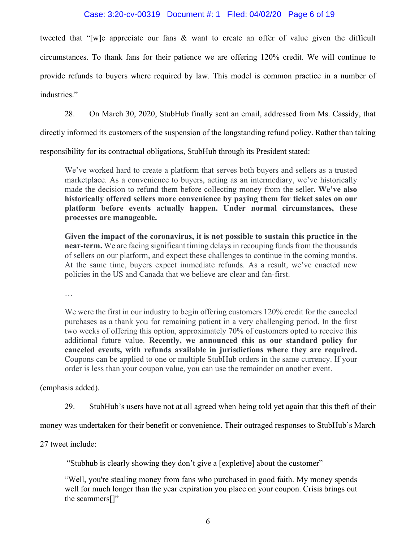# Case: 3:20-cv-00319 Document #: 1 Filed: 04/02/20 Page 6 of 19

tweeted that "[w]e appreciate our fans & want to create an offer of value given the difficult circumstances. To thank fans for their patience we are offering 120% credit. We will continue to provide refunds to buyers where required by law. This model is common practice in a number of industries."

28. On March 30, 2020, StubHub finally sent an email, addressed from Ms. Cassidy, that

directly informed its customers of the suspension of the longstanding refund policy. Rather than taking

responsibility for its contractual obligations, StubHub through its President stated:

We've worked hard to create a platform that serves both buyers and sellers as a trusted marketplace. As a convenience to buyers, acting as an intermediary, we've historically made the decision to refund them before collecting money from the seller. **We've also historically offered sellers more convenience by paying them for ticket sales on our platform before events actually happen. Under normal circumstances, these processes are manageable.**

**Given the impact of the coronavirus, it is not possible to sustain this practice in the near-term.** We are facing significant timing delays in recouping funds from the thousands of sellers on our platform, and expect these challenges to continue in the coming months. At the same time, buyers expect immediate refunds. As a result, we've enacted new policies in the US and Canada that we believe are clear and fan-first.

…

We were the first in our industry to begin offering customers 120% credit for the canceled purchases as a thank you for remaining patient in a very challenging period. In the first two weeks of offering this option, approximately 70% of customers opted to receive this additional future value. **Recently, we announced this as our standard policy for canceled events, with refunds available in jurisdictions where they are required.** Coupons can be applied to one or multiple StubHub orders in the same currency. If your order is less than your coupon value, you can use the remainder on another event.

(emphasis added).

29. StubHub's users have not at all agreed when being told yet again that this theft of their

money was undertaken for their benefit or convenience. Their outraged responses to StubHub's March

27 tweet include:

"Stubhub is clearly showing they don't give a [expletive] about the customer"

"Well, you're stealing money from fans who purchased in good faith. My money spends well for much longer than the year expiration you place on your coupon. Crisis brings out the scammers[]"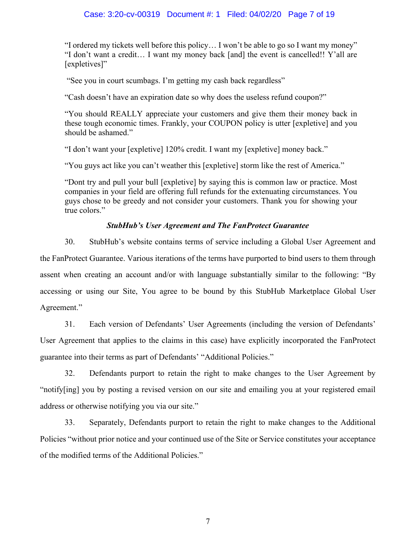# Case: 3:20-cv-00319 Document #: 1 Filed: 04/02/20 Page 7 of 19

"I ordered my tickets well before this policy… I won't be able to go so I want my money" "I don't want a credit… I want my money back [and] the event is cancelled!! Y'all are [expletives]"

"See you in court scumbags. I'm getting my cash back regardless"

"Cash doesn't have an expiration date so why does the useless refund coupon?"

"You should REALLY appreciate your customers and give them their money back in these tough economic times. Frankly, your COUPON policy is utter [expletive] and you should be ashamed."

"I don't want your [expletive] 120% credit. I want my [expletive] money back."

"You guys act like you can't weather this [expletive] storm like the rest of America."

"Dont try and pull your bull [expletive] by saying this is common law or practice. Most companies in your field are offering full refunds for the extenuating circumstances. You guys chose to be greedy and not consider your customers. Thank you for showing your true colors."

# *StubHub's User Agreement and The FanProtect Guarantee*

30. StubHub's website contains terms of service including a Global User Agreement and the FanProtect Guarantee. Various iterations of the terms have purported to bind users to them through assent when creating an account and/or with language substantially similar to the following: "By accessing or using our Site, You agree to be bound by this StubHub Marketplace Global User Agreement."

31. Each version of Defendants' User Agreements (including the version of Defendants' User Agreement that applies to the claims in this case) have explicitly incorporated the FanProtect guarantee into their terms as part of Defendants' "Additional Policies."

32. Defendants purport to retain the right to make changes to the User Agreement by "notify[ing] you by posting a revised version on our site and emailing you at your registered email address or otherwise notifying you via our site."

33. Separately, Defendants purport to retain the right to make changes to the Additional Policies "without prior notice and your continued use of the Site or Service constitutes your acceptance of the modified terms of the Additional Policies."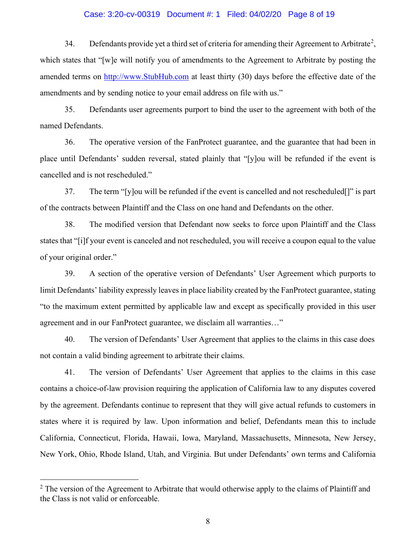#### Case: 3:20-cv-00319 Document #: 1 Filed: 04/02/20 Page 8 of 19

34. Defendants provide yet a third set of criteria for amending their Agreement to Arbitrate<sup>[2](#page-7-0)</sup>, which states that "[w]e will notify you of amendments to the Agreement to Arbitrate by posting the amended terms on [http://www.StubHub.com](http://www.stubhub.com/) at least thirty (30) days before the effective date of the amendments and by sending notice to your email address on file with us."

35. Defendants user agreements purport to bind the user to the agreement with both of the named Defendants.

36. The operative version of the FanProtect guarantee, and the guarantee that had been in place until Defendants' sudden reversal, stated plainly that "[y]ou will be refunded if the event is cancelled and is not rescheduled."

37. The term "[y]ou will be refunded if the event is cancelled and not rescheduled[]" is part of the contracts between Plaintiff and the Class on one hand and Defendants on the other.

38. The modified version that Defendant now seeks to force upon Plaintiff and the Class states that "[i]f your event is canceled and not rescheduled, you will receive a coupon equal to the value of your original order."

39. A section of the operative version of Defendants' User Agreement which purports to limit Defendants' liability expressly leaves in place liability created by the FanProtect guarantee, stating "to the maximum extent permitted by applicable law and except as specifically provided in this user agreement and in our FanProtect guarantee, we disclaim all warranties…"

40. The version of Defendants' User Agreement that applies to the claims in this case does not contain a valid binding agreement to arbitrate their claims.

41. The version of Defendants' User Agreement that applies to the claims in this case contains a choice-of-law provision requiring the application of California law to any disputes covered by the agreement. Defendants continue to represent that they will give actual refunds to customers in states where it is required by law. Upon information and belief, Defendants mean this to include California, Connecticut, Florida, Hawaii, Iowa, Maryland, Massachusetts, Minnesota, New Jersey, New York, Ohio, Rhode Island, Utah, and Virginia. But under Defendants' own terms and California

<span id="page-7-0"></span> $2$  The version of the Agreement to Arbitrate that would otherwise apply to the claims of Plaintiff and the Class is not valid or enforceable.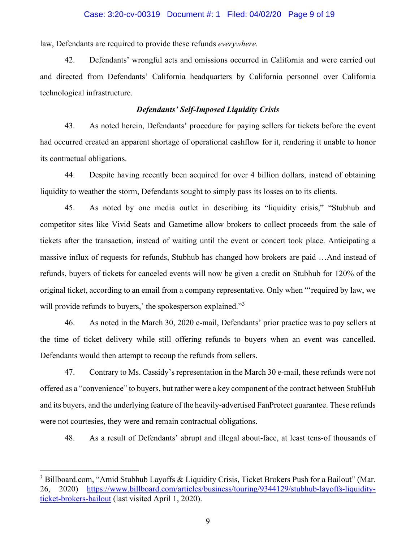#### Case: 3:20-cv-00319 Document #: 1 Filed: 04/02/20 Page 9 of 19

law, Defendants are required to provide these refunds *everywhere.*

42. Defendants' wrongful acts and omissions occurred in California and were carried out and directed from Defendants' California headquarters by California personnel over California technological infrastructure.

# *Defendants' Self-Imposed Liquidity Crisis*

43. As noted herein, Defendants' procedure for paying sellers for tickets before the event had occurred created an apparent shortage of operational cashflow for it, rendering it unable to honor its contractual obligations.

44. Despite having recently been acquired for over 4 billion dollars, instead of obtaining liquidity to weather the storm, Defendants sought to simply pass its losses on to its clients.

45. As noted by one media outlet in describing its "liquidity crisis," "Stubhub and competitor sites like Vivid Seats and Gametime allow brokers to collect proceeds from the sale of tickets after the transaction, instead of waiting until the event or concert took place. Anticipating a massive influx of requests for refunds, Stubhub has changed how brokers are paid …And instead of refunds, buyers of tickets for canceled events will now be given a credit on Stubhub for 120% of the original ticket, according to an email from a company representative. Only when "'required by law, we will provide refunds to buyers,' the spokesperson explained."<sup>[3](#page-8-0)</sup>

46. As noted in the March 30, 2020 e-mail, Defendants' prior practice was to pay sellers at the time of ticket delivery while still offering refunds to buyers when an event was cancelled. Defendants would then attempt to recoup the refunds from sellers.

47. Contrary to Ms. Cassidy's representation in the March 30 e-mail, these refunds were not offered as a "convenience" to buyers, but rather were a key component of the contract between StubHub and its buyers, and the underlying feature of the heavily-advertised FanProtect guarantee. These refunds were not courtesies, they were and remain contractual obligations.

48. As a result of Defendants' abrupt and illegal about-face, at least tens-of thousands of

<span id="page-8-0"></span><sup>&</sup>lt;sup>3</sup> Billboard.com, "Amid Stubhub Layoffs & Liquidity Crisis, Ticket Brokers Push for a Bailout" (Mar. 26, 2020) [https://www.billboard.com/articles/business/touring/9344129/stubhub-layoffs-liquidity](https://www.billboard.com/articles/business/touring/9344129/stubhub-layoffs-liquidity-ticket-brokers-bailout)[ticket-brokers-bailout](https://www.billboard.com/articles/business/touring/9344129/stubhub-layoffs-liquidity-ticket-brokers-bailout) (last visited April 1, 2020).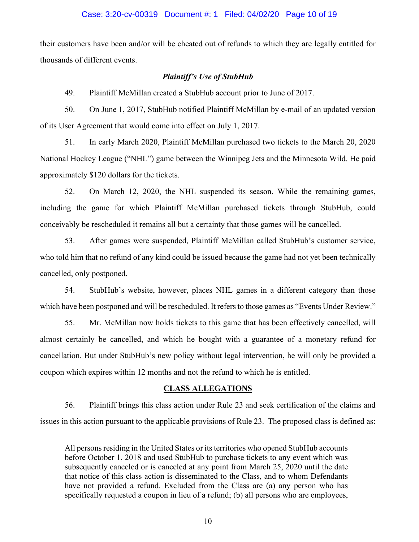#### Case: 3:20-cv-00319 Document #: 1 Filed: 04/02/20 Page 10 of 19

their customers have been and/or will be cheated out of refunds to which they are legally entitled for thousands of different events.

#### *Plaintiff's Use of StubHub*

49. Plaintiff McMillan created a StubHub account prior to June of 2017.

50. On June 1, 2017, StubHub notified Plaintiff McMillan by e-mail of an updated version of its User Agreement that would come into effect on July 1, 2017.

51. In early March 2020, Plaintiff McMillan purchased two tickets to the March 20, 2020 National Hockey League ("NHL") game between the Winnipeg Jets and the Minnesota Wild. He paid approximately \$120 dollars for the tickets.

52. On March 12, 2020, the NHL suspended its season. While the remaining games, including the game for which Plaintiff McMillan purchased tickets through StubHub, could conceivably be rescheduled it remains all but a certainty that those games will be cancelled.

53. After games were suspended, Plaintiff McMillan called StubHub's customer service, who told him that no refund of any kind could be issued because the game had not yet been technically cancelled, only postponed.

54. StubHub's website, however, places NHL games in a different category than those which have been postponed and will be rescheduled. It refers to those games as "Events Under Review."

55. Mr. McMillan now holds tickets to this game that has been effectively cancelled, will almost certainly be cancelled, and which he bought with a guarantee of a monetary refund for cancellation. But under StubHub's new policy without legal intervention, he will only be provided a coupon which expires within 12 months and not the refund to which he is entitled.

### **CLASS ALLEGATIONS**

56. Plaintiff brings this class action under Rule 23 and seek certification of the claims and issues in this action pursuant to the applicable provisions of Rule 23. The proposed class is defined as:

All persons residing in the United States or its territories who opened StubHub accounts before October 1, 2018 and used StubHub to purchase tickets to any event which was subsequently canceled or is canceled at any point from March 25, 2020 until the date that notice of this class action is disseminated to the Class, and to whom Defendants have not provided a refund. Excluded from the Class are (a) any person who has specifically requested a coupon in lieu of a refund; (b) all persons who are employees,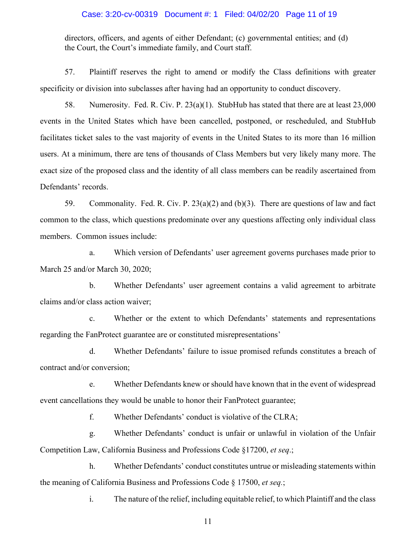# Case: 3:20-cv-00319 Document #: 1 Filed: 04/02/20 Page 11 of 19

directors, officers, and agents of either Defendant; (c) governmental entities; and (d) the Court, the Court's immediate family, and Court staff.

57. Plaintiff reserves the right to amend or modify the Class definitions with greater specificity or division into subclasses after having had an opportunity to conduct discovery.

58. Numerosity. Fed. R. Civ. P. 23(a)(1). StubHub has stated that there are at least 23,000 events in the United States which have been cancelled, postponed, or rescheduled, and StubHub facilitates ticket sales to the vast majority of events in the United States to its more than 16 million users. At a minimum, there are tens of thousands of Class Members but very likely many more. The exact size of the proposed class and the identity of all class members can be readily ascertained from Defendants' records.

59. Commonality. Fed. R. Civ. P. 23(a)(2) and (b)(3). There are questions of law and fact common to the class, which questions predominate over any questions affecting only individual class members. Common issues include:

a. Which version of Defendants' user agreement governs purchases made prior to March 25 and/or March 30, 2020;

b. Whether Defendants' user agreement contains a valid agreement to arbitrate claims and/or class action waiver;

c. Whether or the extent to which Defendants' statements and representations regarding the FanProtect guarantee are or constituted misrepresentations'

d. Whether Defendants' failure to issue promised refunds constitutes a breach of contract and/or conversion;

e. Whether Defendants knew or should have known that in the event of widespread event cancellations they would be unable to honor their FanProtect guarantee;

f. Whether Defendants' conduct is violative of the CLRA;

g. Whether Defendants' conduct is unfair or unlawful in violation of the Unfair Competition Law, California Business and Professions Code §17200, *et seq*.;

h. Whether Defendants' conduct constitutes untrue or misleading statements within the meaning of California Business and Professions Code § 17500, *et seq.*;

i. The nature of the relief, including equitable relief, to which Plaintiff and the class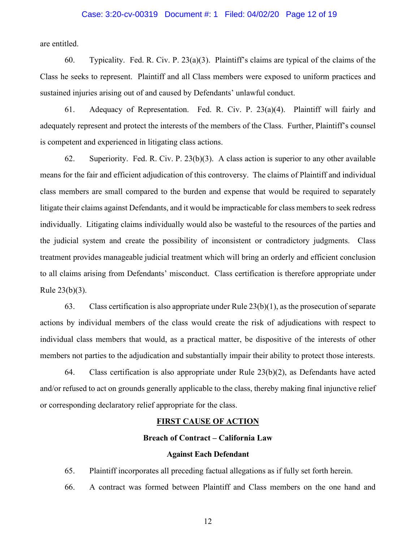# Case: 3:20-cv-00319 Document #: 1 Filed: 04/02/20 Page 12 of 19

are entitled.

60. Typicality. Fed. R. Civ. P. 23(a)(3). Plaintiff's claims are typical of the claims of the Class he seeks to represent. Plaintiff and all Class members were exposed to uniform practices and sustained injuries arising out of and caused by Defendants' unlawful conduct.

61. Adequacy of Representation. Fed. R. Civ. P. 23(a)(4). Plaintiff will fairly and adequately represent and protect the interests of the members of the Class. Further, Plaintiff's counsel is competent and experienced in litigating class actions.

62. Superiority. Fed. R. Civ. P. 23(b)(3). A class action is superior to any other available means for the fair and efficient adjudication of this controversy. The claims of Plaintiff and individual class members are small compared to the burden and expense that would be required to separately litigate their claims against Defendants, and it would be impracticable for class members to seek redress individually. Litigating claims individually would also be wasteful to the resources of the parties and the judicial system and create the possibility of inconsistent or contradictory judgments. Class treatment provides manageable judicial treatment which will bring an orderly and efficient conclusion to all claims arising from Defendants' misconduct. Class certification is therefore appropriate under Rule 23(b)(3).

63. Class certification is also appropriate under Rule 23(b)(1), as the prosecution of separate actions by individual members of the class would create the risk of adjudications with respect to individual class members that would, as a practical matter, be dispositive of the interests of other members not parties to the adjudication and substantially impair their ability to protect those interests.

64. Class certification is also appropriate under Rule 23(b)(2), as Defendants have acted and/or refused to act on grounds generally applicable to the class, thereby making final injunctive relief or corresponding declaratory relief appropriate for the class.

#### **FIRST CAUSE OF ACTION**

#### **Breach of Contract – California Law**

#### **Against Each Defendant**

65. Plaintiff incorporates all preceding factual allegations as if fully set forth herein.

66. A contract was formed between Plaintiff and Class members on the one hand and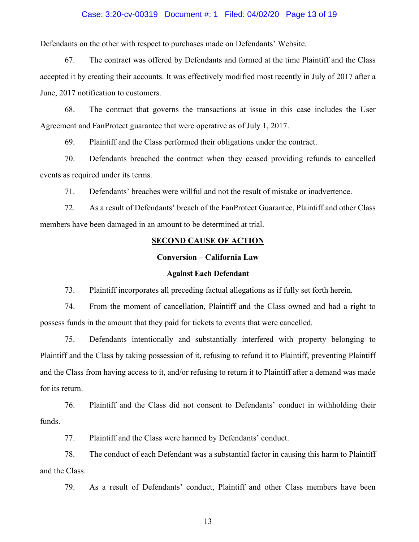#### Case: 3:20-cv-00319 Document #: 1 Filed: 04/02/20 Page 13 of 19

Defendants on the other with respect to purchases made on Defendants' Website.

67. The contract was offered by Defendants and formed at the time Plaintiff and the Class accepted it by creating their accounts. It was effectively modified most recently in July of 2017 after a June, 2017 notification to customers.

68. The contract that governs the transactions at issue in this case includes the User Agreement and FanProtect guarantee that were operative as of July 1, 2017.

69. Plaintiff and the Class performed their obligations under the contract.

70. Defendants breached the contract when they ceased providing refunds to cancelled events as required under its terms.

71. Defendants' breaches were willful and not the result of mistake or inadvertence.

72. As a result of Defendants' breach of the FanProtect Guarantee, Plaintiff and other Class members have been damaged in an amount to be determined at trial.

# **SECOND CAUSE OF ACTION**

#### **Conversion – California Law**

#### **Against Each Defendant**

73. Plaintiff incorporates all preceding factual allegations as if fully set forth herein.

74. From the moment of cancellation, Plaintiff and the Class owned and had a right to possess funds in the amount that they paid for tickets to events that were cancelled.

75. Defendants intentionally and substantially interfered with property belonging to Plaintiff and the Class by taking possession of it, refusing to refund it to Plaintiff, preventing Plaintiff and the Class from having access to it, and/or refusing to return it to Plaintiff after a demand was made for its return.

76. Plaintiff and the Class did not consent to Defendants' conduct in withholding their funds.

77. Plaintiff and the Class were harmed by Defendants' conduct.

78. The conduct of each Defendant was a substantial factor in causing this harm to Plaintiff and the Class.

79. As a result of Defendants' conduct, Plaintiff and other Class members have been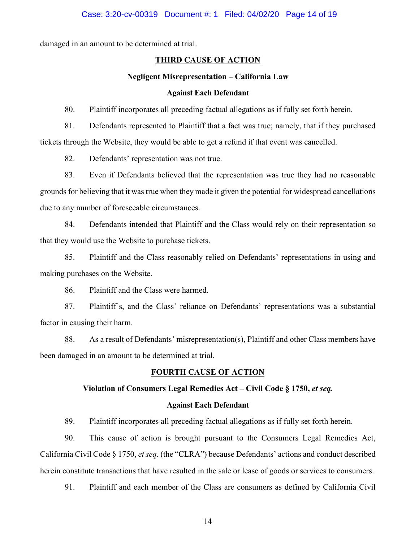damaged in an amount to be determined at trial.

# **THIRD CAUSE OF ACTION**

#### **Negligent Misrepresentation – California Law**

#### **Against Each Defendant**

80. Plaintiff incorporates all preceding factual allegations as if fully set forth herein.

81. Defendants represented to Plaintiff that a fact was true; namely, that if they purchased tickets through the Website, they would be able to get a refund if that event was cancelled.

82. Defendants' representation was not true.

83. Even if Defendants believed that the representation was true they had no reasonable grounds for believing that it was true when they made it given the potential for widespread cancellations due to any number of foreseeable circumstances.

84. Defendants intended that Plaintiff and the Class would rely on their representation so that they would use the Website to purchase tickets.

85. Plaintiff and the Class reasonably relied on Defendants' representations in using and making purchases on the Website.

86. Plaintiff and the Class were harmed.

87. Plaintiff's, and the Class' reliance on Defendants' representations was a substantial factor in causing their harm.

88. As a result of Defendants' misrepresentation(s), Plaintiff and other Class members have been damaged in an amount to be determined at trial.

# **FOURTH CAUSE OF ACTION**

#### **Violation of Consumers Legal Remedies Act – Civil Code § 1750,** *et seq.*

#### **Against Each Defendant**

89. Plaintiff incorporates all preceding factual allegations as if fully set forth herein.

90. This cause of action is brought pursuant to the Consumers Legal Remedies Act, California Civil Code § 1750, *et seq.* (the "CLRA") because Defendants' actions and conduct described herein constitute transactions that have resulted in the sale or lease of goods or services to consumers.

91. Plaintiff and each member of the Class are consumers as defined by California Civil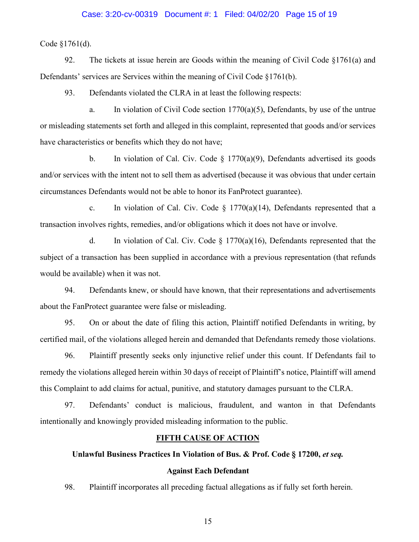#### Case: 3:20-cv-00319 Document #: 1 Filed: 04/02/20 Page 15 of 19

Code §1761(d).

92. The tickets at issue herein are Goods within the meaning of Civil Code §1761(a) and Defendants' services are Services within the meaning of Civil Code §1761(b).

93. Defendants violated the CLRA in at least the following respects:

a. In violation of Civil Code section 1770(a)(5), Defendants, by use of the untrue or misleading statements set forth and alleged in this complaint, represented that goods and/or services have characteristics or benefits which they do not have;

b. In violation of Cal. Civ. Code  $\S$  1770(a)(9), Defendants advertised its goods and/or services with the intent not to sell them as advertised (because it was obvious that under certain circumstances Defendants would not be able to honor its FanProtect guarantee).

c. In violation of Cal. Civ. Code  $\S$  1770(a)(14), Defendants represented that a transaction involves rights, remedies, and/or obligations which it does not have or involve.

d. In violation of Cal. Civ. Code  $\S$  1770(a)(16), Defendants represented that the subject of a transaction has been supplied in accordance with a previous representation (that refunds would be available) when it was not.

94. Defendants knew, or should have known, that their representations and advertisements about the FanProtect guarantee were false or misleading.

95. On or about the date of filing this action, Plaintiff notified Defendants in writing, by certified mail, of the violations alleged herein and demanded that Defendants remedy those violations.

96. Plaintiff presently seeks only injunctive relief under this count. If Defendants fail to remedy the violations alleged herein within 30 days of receipt of Plaintiff's notice, Plaintiff will amend this Complaint to add claims for actual, punitive, and statutory damages pursuant to the CLRA.

97. Defendants' conduct is malicious, fraudulent, and wanton in that Defendants intentionally and knowingly provided misleading information to the public.

#### **FIFTH CAUSE OF ACTION**

# **Unlawful Business Practices In Violation of Bus. & Prof. Code § 17200,** *et seq.*

# **Against Each Defendant**

98. Plaintiff incorporates all preceding factual allegations as if fully set forth herein.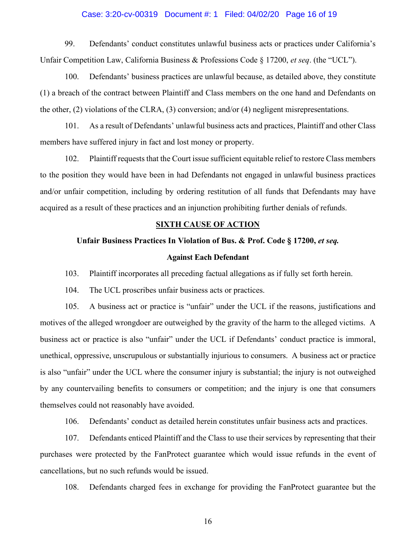# Case: 3:20-cv-00319 Document #: 1 Filed: 04/02/20 Page 16 of 19

99. Defendants' conduct constitutes unlawful business acts or practices under California's Unfair Competition Law, California Business & Professions Code § 17200, *et seq*. (the "UCL").

100. Defendants' business practices are unlawful because, as detailed above, they constitute (1) a breach of the contract between Plaintiff and Class members on the one hand and Defendants on the other, (2) violations of the CLRA, (3) conversion; and/or (4) negligent misrepresentations.

101. As a result of Defendants' unlawful business acts and practices, Plaintiff and other Class members have suffered injury in fact and lost money or property.

102. Plaintiff requests that the Court issue sufficient equitable relief to restore Class members to the position they would have been in had Defendants not engaged in unlawful business practices and/or unfair competition, including by ordering restitution of all funds that Defendants may have acquired as a result of these practices and an injunction prohibiting further denials of refunds.

#### **SIXTH CAUSE OF ACTION**

#### **Unfair Business Practices In Violation of Bus. & Prof. Code § 17200,** *et seq.*

#### **Against Each Defendant**

103. Plaintiff incorporates all preceding factual allegations as if fully set forth herein.

104. The UCL proscribes unfair business acts or practices.

105. A business act or practice is "unfair" under the UCL if the reasons, justifications and motives of the alleged wrongdoer are outweighed by the gravity of the harm to the alleged victims. A business act or practice is also "unfair" under the UCL if Defendants' conduct practice is immoral, unethical, oppressive, unscrupulous or substantially injurious to consumers. A business act or practice is also "unfair" under the UCL where the consumer injury is substantial; the injury is not outweighed by any countervailing benefits to consumers or competition; and the injury is one that consumers themselves could not reasonably have avoided.

106. Defendants' conduct as detailed herein constitutes unfair business acts and practices.

107. Defendants enticed Plaintiff and the Class to use their services by representing that their purchases were protected by the FanProtect guarantee which would issue refunds in the event of cancellations, but no such refunds would be issued.

108. Defendants charged fees in exchange for providing the FanProtect guarantee but the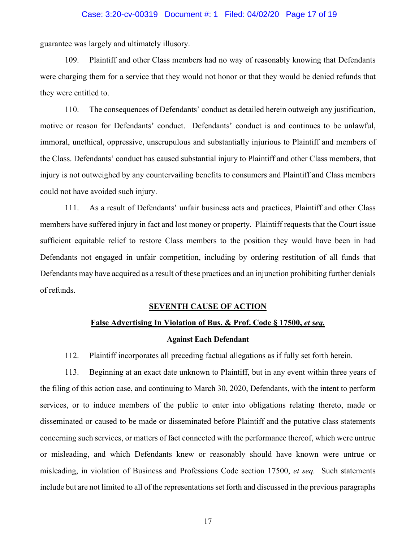#### Case: 3:20-cv-00319 Document #: 1 Filed: 04/02/20 Page 17 of 19

guarantee was largely and ultimately illusory.

109. Plaintiff and other Class members had no way of reasonably knowing that Defendants were charging them for a service that they would not honor or that they would be denied refunds that they were entitled to.

110. The consequences of Defendants' conduct as detailed herein outweigh any justification, motive or reason for Defendants' conduct. Defendants' conduct is and continues to be unlawful, immoral, unethical, oppressive, unscrupulous and substantially injurious to Plaintiff and members of the Class. Defendants' conduct has caused substantial injury to Plaintiff and other Class members, that injury is not outweighed by any countervailing benefits to consumers and Plaintiff and Class members could not have avoided such injury.

111. As a result of Defendants' unfair business acts and practices, Plaintiff and other Class members have suffered injury in fact and lost money or property. Plaintiff requests that the Court issue sufficient equitable relief to restore Class members to the position they would have been in had Defendants not engaged in unfair competition, including by ordering restitution of all funds that Defendants may have acquired as a result of these practices and an injunction prohibiting further denials of refunds.

# **SEVENTH CAUSE OF ACTION**

#### **False Advertising In Violation of Bus. & Prof. Code § 17500,** *et seq.*

#### **Against Each Defendant**

112. Plaintiff incorporates all preceding factual allegations as if fully set forth herein.

113. Beginning at an exact date unknown to Plaintiff, but in any event within three years of the filing of this action case, and continuing to March 30, 2020, Defendants, with the intent to perform services, or to induce members of the public to enter into obligations relating thereto, made or disseminated or caused to be made or disseminated before Plaintiff and the putative class statements concerning such services, or matters of fact connected with the performance thereof, which were untrue or misleading, and which Defendants knew or reasonably should have known were untrue or misleading, in violation of Business and Professions Code section 17500, *et seq.* Such statements include but are not limited to all of the representations set forth and discussed in the previous paragraphs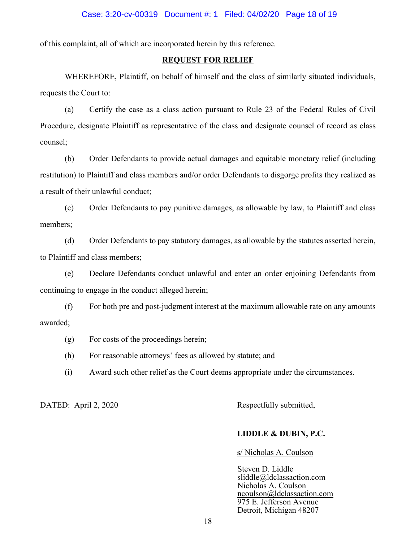of this complaint, all of which are incorporated herein by this reference.

# **REQUEST FOR RELIEF**

WHEREFORE, Plaintiff, on behalf of himself and the class of similarly situated individuals, requests the Court to:

(a) Certify the case as a class action pursuant to Rule 23 of the Federal Rules of Civil Procedure, designate Plaintiff as representative of the class and designate counsel of record as class counsel;

(b) Order Defendants to provide actual damages and equitable monetary relief (including restitution) to Plaintiff and class members and/or order Defendants to disgorge profits they realized as a result of their unlawful conduct;

(c) Order Defendants to pay punitive damages, as allowable by law, to Plaintiff and class members;

(d) Order Defendants to pay statutory damages, as allowable by the statutes asserted herein, to Plaintiff and class members;

(e) Declare Defendants conduct unlawful and enter an order enjoining Defendants from continuing to engage in the conduct alleged herein;

(f) For both pre and post-judgment interest at the maximum allowable rate on any amounts awarded;

(g) For costs of the proceedings herein;

(h) For reasonable attorneys' fees as allowed by statute; and

(i) Award such other relief as the Court deems appropriate under the circumstances.

DATED: April 2, 2020 Respectfully submitted,

#### **LIDDLE & DUBIN, P.C.**

s/ Nicholas A. Coulson

Steven D. Liddle sliddle@ldclassaction.com Nicholas A. Coulson ncoulson@ldclassaction.com 975 E. Jefferson Avenue Detroit, Michigan 48207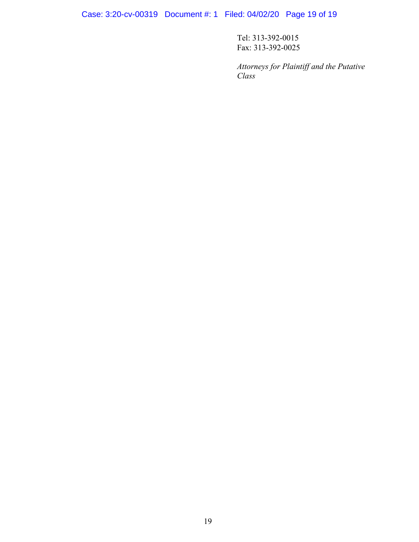Case: 3:20-cv-00319 Document #: 1 Filed: 04/02/20 Page 19 of 19

Tel: 313-392-0015 Fax: 313-392-0025

*Attorneys for Plaintiff and the Putative Class*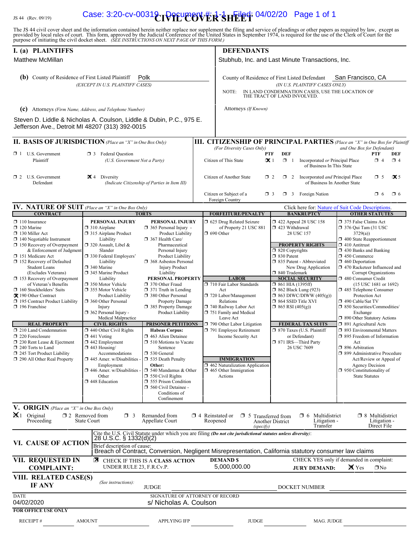# IS 44 (Rev. 09/19) **Case: 3:20-cv-0031&rvetLed: 04/02/20** Page 1 of 1

The JS 44 civil cover sheet and the information contained herein neither replace nor supplement the filing and service of pleadings or other papers as required by law, except as provided by local rules of court. This form,

| I. (a) PLAINTIFFS                                                                                                                            |                                                                                                         |                                                                                                                   |                        | <b>DEFENDANTS</b>                                                                                                                    |                                      |                                                                                  |                                                                                                                             |                                                   |                     |  |
|----------------------------------------------------------------------------------------------------------------------------------------------|---------------------------------------------------------------------------------------------------------|-------------------------------------------------------------------------------------------------------------------|------------------------|--------------------------------------------------------------------------------------------------------------------------------------|--------------------------------------|----------------------------------------------------------------------------------|-----------------------------------------------------------------------------------------------------------------------------|---------------------------------------------------|---------------------|--|
| <b>Matthew McMillan</b>                                                                                                                      |                                                                                                         | Stubhub, Inc. and Last Minute Transactions, Inc.                                                                  |                        |                                                                                                                                      |                                      |                                                                                  |                                                                                                                             |                                                   |                     |  |
| Polk<br>(b) County of Residence of First Listed Plaintiff                                                                                    |                                                                                                         |                                                                                                                   |                        | San Francisco, CA<br>County of Residence of First Listed Defendant                                                                   |                                      |                                                                                  |                                                                                                                             |                                                   |                     |  |
| (EXCEPT IN U.S. PLAINTIFF CASES)                                                                                                             |                                                                                                         |                                                                                                                   |                        | (IN U.S. PLAINTIFF CASES ONLY)<br>IN LAND CONDEMNATION CASES, USE THE LOCATION OF<br>NOTE:<br>THE TRACT OF LAND INVOLVED.            |                                      |                                                                                  |                                                                                                                             |                                                   |                     |  |
| (c) Attorneys (Firm Name, Address, and Telephone Number)                                                                                     |                                                                                                         |                                                                                                                   |                        | Attorneys (If Known)                                                                                                                 |                                      |                                                                                  |                                                                                                                             |                                                   |                     |  |
| Steven D. Liddle & Nicholas A. Coulson, Liddle & Dubin, P.C., 975 E.<br>Jefferson Ave., Detroit MI 48207 (313) 392-0015                      |                                                                                                         |                                                                                                                   |                        |                                                                                                                                      |                                      |                                                                                  |                                                                                                                             |                                                   |                     |  |
| II. BASIS OF JURISDICTION (Place an "X" in One Box Only)                                                                                     |                                                                                                         |                                                                                                                   |                        | III. CITIZENSHIP OF PRINCIPAL PARTIES (Place an "X" in One Box for Plaintiff                                                         |                                      |                                                                                  |                                                                                                                             |                                                   |                     |  |
| $\Box$ 1 U.S. Government                                                                                                                     | <b>3</b> Federal Question                                                                               |                                                                                                                   |                        | (For Diversity Cases Only)<br><b>PTF</b>                                                                                             | <b>DEF</b>                           |                                                                                  | and One Box for Defendant)                                                                                                  | PTF                                               | DEF                 |  |
| Plaintiff                                                                                                                                    | (U.S. Government Not a Party)                                                                           |                                                                                                                   |                        | Citizen of This State                                                                                                                | $\propto$ 1<br>$\Box$ 1              | Incorporated or Principal Place<br>of Business In This State                     |                                                                                                                             | $\Box$ 4                                          | $\Box$ 4            |  |
| $\Box$ 2 U.S. Government<br>Defendant                                                                                                        | $\mathbf{\times}$ 4 Diversity                                                                           | (Indicate Citizenship of Parties in Item III)                                                                     |                        | Citizen of Another State                                                                                                             | $\Box$ 2                             | $\Box$ 2 Incorporated <i>and</i> Principal Place<br>of Business In Another State |                                                                                                                             | $\Box$ 5                                          | $\mathbf{\times}$ 5 |  |
|                                                                                                                                              |                                                                                                         |                                                                                                                   |                        | Citizen or Subject of a<br>Foreign Country                                                                                           | $\Box$ 3                             | $\Box$ 3 Foreign Nation                                                          |                                                                                                                             | O 6                                               | $\Box$ 6            |  |
| <b>IV. NATURE OF SUIT</b> (Place an "X" in One Box Only)                                                                                     |                                                                                                         |                                                                                                                   |                        |                                                                                                                                      |                                      | Click here for: Nature of Suit Code Descriptions.                                |                                                                                                                             |                                                   |                     |  |
| <b>CONTRACT</b>                                                                                                                              |                                                                                                         | <b>TORTS</b>                                                                                                      |                        | <b>FORFEITURE/PENALTY</b>                                                                                                            |                                      | <b>BANKRUPTCY</b>                                                                |                                                                                                                             | <b>OTHER STATUTES</b>                             |                     |  |
| $\Box$ 110 Insurance<br>$\Box$ 120 Marine<br>$\Box$ 130 Miller Act<br>$\Box$ 140 Negotiable Instrument<br>$\Box$ 150 Recovery of Overpayment | PERSONAL INJURY<br>$\Box$ 310 Airplane<br>□ 315 Airplane Product<br>Liability<br>□ 320 Assault, Libel & | PERSONAL INJURY<br>$\Box$ 365 Personal Injury -<br>Product Liability<br>$\Box$ 367 Health Care/<br>Pharmaceutical |                        | 5 625 Drug Related Seizure<br>of Property 21 USC 881<br>$\Box$ 690 Other                                                             | □ 423 Withdrawal                     | 158 422 Appeal 28 USC 158<br>28 USC 157<br><b>PROPERTY RIGHTS</b>                | □ 375 False Claims Act<br>$\Box$ 376 Qui Tam (31 USC<br>3729(a)<br>$\Box$ 400 State Reapportionment<br>$\Box$ 410 Antitrust |                                                   |                     |  |
| & Enforcement of Judgment                                                                                                                    | Slander                                                                                                 | Personal Injury                                                                                                   |                        |                                                                                                                                      | $\Box$ 820 Copyrights                |                                                                                  | $\Box$ 430 Banks and Banking                                                                                                |                                                   |                     |  |
| □ 151 Medicare Act<br>152 Recovery of Defaulted                                                                                              | □ 330 Federal Employers'<br>Liability                                                                   | Product Liability<br>368 Asbestos Personal                                                                        |                        |                                                                                                                                      | □ 830 Patent                         | 335 Patent - Abbreviated                                                         | $\Box$ 450 Commerce<br>$\Box$ 460 Deportation                                                                               |                                                   |                     |  |
| <b>Student Loans</b><br>(Excludes Veterans)                                                                                                  | □ 340 Marine<br>345 Marine Product                                                                      | <b>Injury Product</b><br>Liability                                                                                |                        |                                                                                                                                      | □ 840 Trademark                      | New Drug Application                                                             | □ 470 Racketeer Influenced and                                                                                              | Corrupt Organizations                             |                     |  |
| $\Box$ 153 Recovery of Overpayment<br>of Veteran's Benefits                                                                                  | Liability<br>□ 350 Motor Vehicle                                                                        | PERSONAL PROPERTY<br>370 Other Fraud                                                                              |                        | <b>LABOR</b><br>710 Fair Labor Standards                                                                                             | $\Box$ 861 HIA (1395ff)              | <b>SOCIAL SECURITY</b>                                                           | 480 Consumer Credit                                                                                                         | (15 USC 1681 or 1692)                             |                     |  |
| $\Box$ 160 Stockholders' Suits<br>X 190 Other Contract                                                                                       | □ 355 Motor Vehicle<br>Product Liability                                                                | $\Box$ 371 Truth in Lending<br>380 Other Personal                                                                 |                        | Act<br>720 Labor/Management                                                                                                          |                                      | <b>1</b> 862 Black Lung (923)<br>$\Box$ 863 DIWC/DIWW (405(g))                   | 485 Telephone Consumer<br>Protection Act                                                                                    |                                                   |                     |  |
| 195 Contract Product Liability                                                                                                               | 360 Other Personal                                                                                      | <b>Property Damage</b>                                                                                            |                        | Relations                                                                                                                            | ■ 864 SSID Title XVI                 |                                                                                  | $\Box$ 490 Cable/Sat TV                                                                                                     |                                                   |                     |  |
| $\Box$ 196 Franchise                                                                                                                         | Injury<br>362 Personal Injury -                                                                         | □ 385 Property Damage<br>Product Liability                                                                        |                        | 740 Railway Labor Act<br>751 Family and Medical                                                                                      | $\Box$ 865 RSI (405(g))              |                                                                                  | □ 850 Securities/Commodities/<br>Exchange                                                                                   |                                                   |                     |  |
| <b>REAL PROPERTY</b>                                                                                                                         | Medical Malpractice<br><b>CIVIL RIGHTS</b>                                                              | <b>PRISONER PETITIONS</b>                                                                                         |                        | Leave Act<br>790 Other Labor Litigation                                                                                              |                                      | <b>FEDERAL TAX SUITS</b>                                                         | □ 890 Other Statutory Actions<br>□ 891 Agricultural Acts                                                                    |                                                   |                     |  |
| 210 Land Condemnation                                                                                                                        | $\Box$ 440 Other Civil Rights                                                                           | <b>Habeas Corpus:</b>                                                                                             |                        | 791 Employee Retirement                                                                                                              |                                      | □ 870 Taxes (U.S. Plaintiff                                                      | □ 893 Environmental Matters                                                                                                 |                                                   |                     |  |
| $\Box$ 220 Foreclosure<br>$\Box$ 230 Rent Lease & Ejectment                                                                                  | $\Box$ 441 Voting<br>$\Box$ 442 Employment                                                              | 463 Alien Detainee<br>$\Box$ 510 Motions to Vacate                                                                |                        | Income Security Act                                                                                                                  |                                      | or Defendant)<br>□ 871 IRS-Third Party                                           | □ 895 Freedom of Information<br>Act                                                                                         |                                                   |                     |  |
| 240 Torts to Land<br>245 Tort Product Liability                                                                                              | $\Box$ 443 Housing/<br>Accommodations                                                                   | Sentence<br>530 General                                                                                           |                        |                                                                                                                                      |                                      | 26 USC 7609                                                                      | □ 896 Arbitration<br>□ 899 Administrative Procedure                                                                         |                                                   |                     |  |
| 290 All Other Real Property                                                                                                                  | $\Box$ 445 Amer. w/Disabilities<br>Employment                                                           | 535 Death Penalty<br>Other:                                                                                       |                        | <b>IMMIGRATION</b><br>1462 Naturalization Application                                                                                |                                      |                                                                                  |                                                                                                                             | Act/Review or Appeal of<br><b>Agency Decision</b> |                     |  |
|                                                                                                                                              | $\Box$ 446 Amer. w/Disabilities                                                                         | $\Box$ 540 Mandamus & Other                                                                                       |                        | $\Box$ 465 Other Immigration                                                                                                         |                                      |                                                                                  | $\Box$ 950 Constitutionality of                                                                                             |                                                   |                     |  |
|                                                                                                                                              | Other<br>448 Education                                                                                  | $\Box$ 550 Civil Rights<br>555 Prison Condition                                                                   |                        | Actions                                                                                                                              |                                      |                                                                                  | <b>State Statutes</b>                                                                                                       |                                                   |                     |  |
|                                                                                                                                              |                                                                                                         | 560 Civil Detainee -<br>Conditions of                                                                             |                        |                                                                                                                                      |                                      |                                                                                  |                                                                                                                             |                                                   |                     |  |
|                                                                                                                                              |                                                                                                         | Confinement                                                                                                       |                        |                                                                                                                                      |                                      |                                                                                  |                                                                                                                             |                                                   |                     |  |
| V. ORIGIN (Place an "X" in One Box Only)<br>$\mathbf{X}$ 1 Original<br>Proceeding                                                            | $\square$ 2 Removed from<br>$\Box$ 3<br><b>State Court</b>                                              | Remanded from<br>Appellate Court                                                                                  | $\Box$ 4 Reinstated or | $\Box$ 5<br>Reopened                                                                                                                 | Transferred from<br>Another District | Multidistrict<br>□ 6<br>Litigation -                                             |                                                                                                                             | $\Box$ 8 Multidistrict<br>Litigation -            |                     |  |
|                                                                                                                                              |                                                                                                         |                                                                                                                   |                        | (specify)<br>Cite the U.S. Civil Statute under which you are filing (Do not cite jurisdictional statutes unless diversity):          |                                      | Transfer                                                                         |                                                                                                                             | Direct File                                       |                     |  |
| VI. CAUSE OF ACTION                                                                                                                          | 28 U.S.C. § 1332(d)(2)                                                                                  |                                                                                                                   |                        |                                                                                                                                      |                                      |                                                                                  |                                                                                                                             |                                                   |                     |  |
|                                                                                                                                              |                                                                                                         |                                                                                                                   |                        | Brief description of cause:<br>Breach of Contract, Conversion, Negligent Misrepresentation, California statutory consumer law claims |                                      |                                                                                  |                                                                                                                             |                                                   |                     |  |
| VII. REQUESTED IN<br><b>COMPLAINT:</b>                                                                                                       | UNDER RULE 23, F.R.Cv.P.                                                                                | <b>EX</b> CHECK IF THIS IS A CLASS ACTION                                                                         |                        | <b>DEMAND \$</b><br>5,000,000.00                                                                                                     |                                      | CHECK YES only if demanded in complaint:<br><b>JURY DEMAND:</b>                  | <b>X</b> Yes                                                                                                                | $\Box$ No                                         |                     |  |
| VIII. RELATED CASE(S)<br>IF ANY                                                                                                              | (See instructions):                                                                                     | <b>JUDGE</b>                                                                                                      |                        |                                                                                                                                      |                                      | DOCKET NUMBER                                                                    |                                                                                                                             |                                                   |                     |  |
| <b>DATE</b><br>04/02/2020<br><b>FOR OFFICE USE ONLY</b>                                                                                      |                                                                                                         | SIGNATURE OF ATTORNEY OF RECORD<br>s/ Nicholas A. Coulson                                                         |                        |                                                                                                                                      |                                      |                                                                                  |                                                                                                                             |                                                   |                     |  |
| RECEIPT#                                                                                                                                     | <b>AMOUNT</b>                                                                                           | <b>APPLYING IFP</b>                                                                                               |                        | <b>JUDGE</b>                                                                                                                         |                                      | MAG. JUDGE                                                                       |                                                                                                                             |                                                   |                     |  |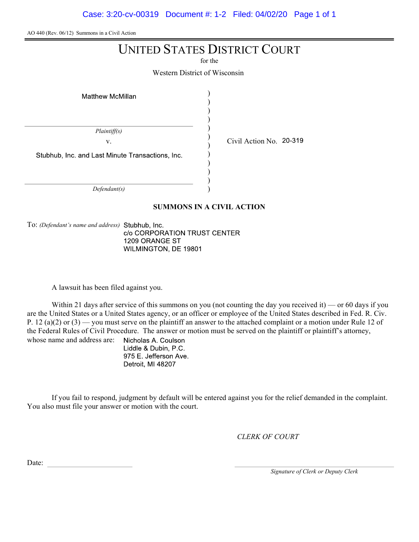Case: 3:20-cv-00319 Document #: 1-2 Filed: 04/02/20 Page 1 of 1

AO 440 (Rev. 06/12) Summons in a Civil Action

# UNITED STATES DISTRICT COURT

for the

Western District of Wisconsin

| <b>Matthew McMillan</b>                          |  |  |  |
|--------------------------------------------------|--|--|--|
|                                                  |  |  |  |
| Plaintiff(s)                                     |  |  |  |
| V.                                               |  |  |  |
| Stubhub, Inc. and Last Minute Transactions, Inc. |  |  |  |
|                                                  |  |  |  |
|                                                  |  |  |  |
| Defendant(s)                                     |  |  |  |

#### SUMMONS IN A CIVIL ACTION

To: (Defendant's name and address) Stubhub, Inc. c/o CORPORATION TRUST CENTER 1209 ORANGE ST WILMINGTON, DE 19801

A lawsuit has been filed against you.

Within 21 days after service of this summons on you (not counting the day you received it) — or 60 days if you are the United States or a United States agency, or an officer or employee of the United States described in Fed. R. Civ. P. 12 (a)(2) or  $(3)$  — you must serve on the plaintiff an answer to the attached complaint or a motion under Rule 12 of the Federal Rules of Civil Procedure. The answer or motion must be served on the plaintiff or plaintiff's attorney, whose name and address are: Nicholas A. Coulson

Liddle & Dubin, P.C. 975 E. Jefferson Ave. Detroit, MI 48207

If you fail to respond, judgment by default will be entered against you for the relief demanded in the complaint. You also must file your answer or motion with the court.

CLERK OF COURT

Civil Action No. 20-319

Date:

Signature of Clerk or Deputy Clerk